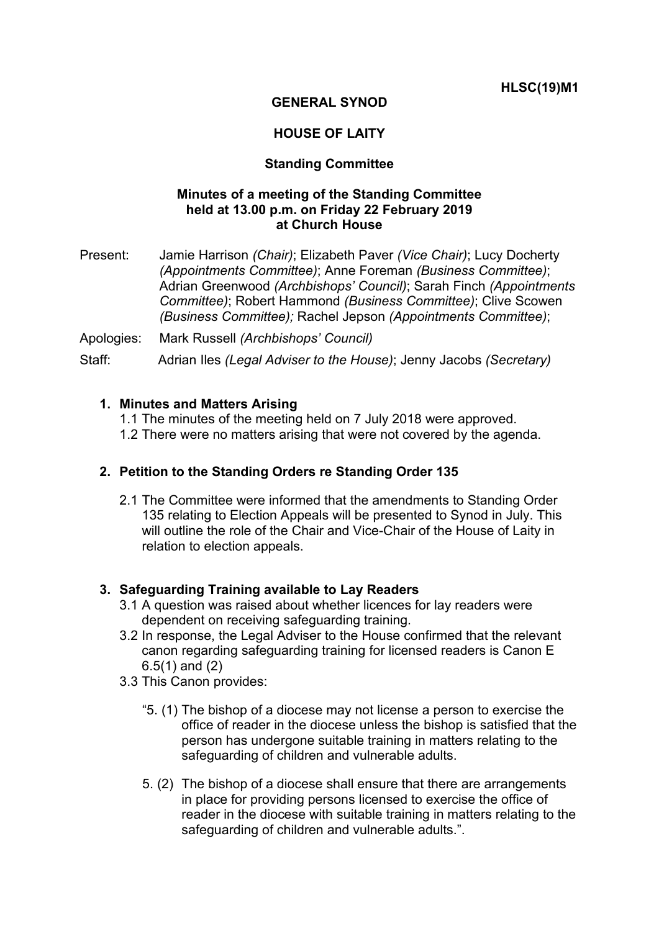**HLSC(19)M1**

# **GENERAL SYNOD**

# **HOUSE OF LAITY**

## **Standing Committee**

## **Minutes of a meeting of the Standing Committee held at 13.00 p.m. on Friday 22 February 2019 at Church House**

Present: Jamie Harrison *(Chair)*; Elizabeth Paver *(Vice Chair)*; Lucy Docherty *(Appointments Committee)*; Anne Foreman *(Business Committee)*; Adrian Greenwood *(Archbishops' Council)*; Sarah Finch *(Appointments Committee)*; Robert Hammond *(Business Committee)*; Clive Scowen *(Business Committee);* Rachel Jepson *(Appointments Committee)*;

Apologies: Mark Russell *(Archbishops' Council)*

Staff: Adrian Iles *(Legal Adviser to the House)*; Jenny Jacobs *(Secretary)*

#### **1. Minutes and Matters Arising**

- 1.1 The minutes of the meeting held on 7 July 2018 were approved.
- 1.2 There were no matters arising that were not covered by the agenda.

### **2. Petition to the Standing Orders re Standing Order 135**

2.1 The Committee were informed that the amendments to Standing Order 135 relating to Election Appeals will be presented to Synod in July. This will outline the role of the Chair and Vice-Chair of the House of Laity in relation to election appeals.

### **3. Safeguarding Training available to Lay Readers**

- 3.1 A question was raised about whether licences for lay readers were dependent on receiving safeguarding training.
- 3.2 In response, the Legal Adviser to the House confirmed that the relevant canon regarding safeguarding training for licensed readers is Canon E 6.5(1) and (2)
- 3.3 This Canon provides:
	- "5. (1) The bishop of a diocese may not license a person to exercise the office of reader in the diocese unless the bishop is satisfied that the person has undergone suitable training in matters relating to the safeguarding of children and vulnerable adults.
	- 5. (2) The bishop of a diocese shall ensure that there are arrangements in place for providing persons licensed to exercise the office of reader in the diocese with suitable training in matters relating to the safeguarding of children and vulnerable adults.".